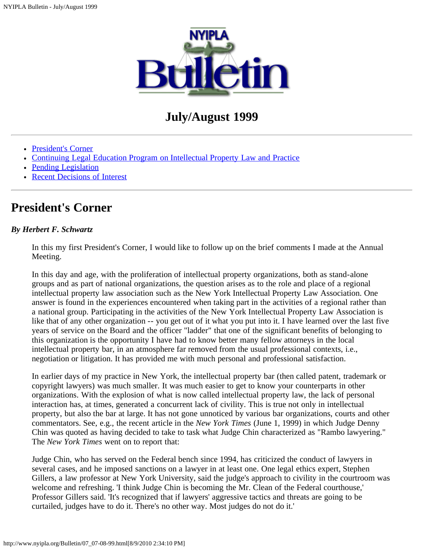

# **July/August 1999**

- [President's Corner](#page-0-0)
- [Continuing Legal Education Program on Intellectual Property Law and Practice](#page-1-0)
- [Pending Legislation](#page-1-1)
- [Recent Decisions of Interest](#page-3-0)

## <span id="page-0-0"></span>**President's Corner**

### *By Herbert F. Schwartz*

In this my first President's Corner, I would like to follow up on the brief comments I made at the Annual Meeting.

In this day and age, with the proliferation of intellectual property organizations, both as stand-alone groups and as part of national organizations, the question arises as to the role and place of a regional intellectual property law association such as the New York Intellectual Property Law Association. One answer is found in the experiences encountered when taking part in the activities of a regional rather than a national group. Participating in the activities of the New York Intellectual Property Law Association is like that of any other organization -- you get out of it what you put into it. I have learned over the last five years of service on the Board and the officer "ladder" that one of the significant benefits of belonging to this organization is the opportunity I have had to know better many fellow attorneys in the local intellectual property bar, in an atmosphere far removed from the usual professional contexts, i.e., negotiation or litigation. It has provided me with much personal and professional satisfaction.

In earlier days of my practice in New York, the intellectual property bar (then called patent, trademark or copyright lawyers) was much smaller. It was much easier to get to know your counterparts in other organizations. With the explosion of what is now called intellectual property law, the lack of personal interaction has, at times, generated a concurrent lack of civility. This is true not only in intellectual property, but also the bar at large. It has not gone unnoticed by various bar organizations, courts and other commentators. See, e.g., the recent article in the *New York Times* (June 1, 1999) in which Judge Denny Chin was quoted as having decided to take to task what Judge Chin characterized as "Rambo lawyering." The *New York Times* went on to report that:

Judge Chin, who has served on the Federal bench since 1994, has criticized the conduct of lawyers in several cases, and he imposed sanctions on a lawyer in at least one. One legal ethics expert, Stephen Gillers, a law professor at New York University, said the judge's approach to civility in the courtroom was welcome and refreshing. 'I think Judge Chin is becoming the Mr. Clean of the Federal courthouse,' Professor Gillers said. 'It's recognized that if lawyers' aggressive tactics and threats are going to be curtailed, judges have to do it. There's no other way. Most judges do not do it.'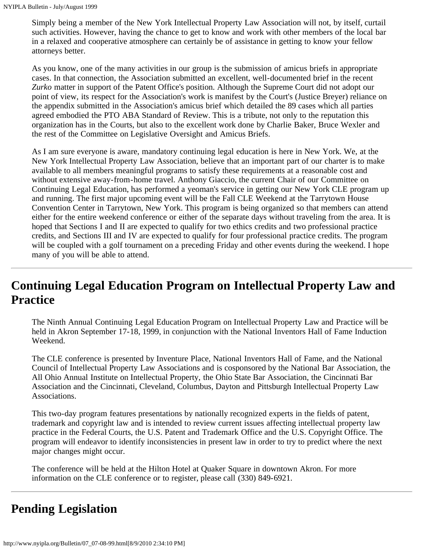Simply being a member of the New York Intellectual Property Law Association will not, by itself, curtail such activities. However, having the chance to get to know and work with other members of the local bar in a relaxed and cooperative atmosphere can certainly be of assistance in getting to know your fellow attorneys better.

As you know, one of the many activities in our group is the submission of amicus briefs in appropriate cases. In that connection, the Association submitted an excellent, well-documented brief in the recent *Zurko* matter in support of the Patent Office's position. Although the Supreme Court did not adopt our point of view, its respect for the Association's work is manifest by the Court's (Justice Breyer) reliance on the appendix submitted in the Association's amicus brief which detailed the 89 cases which all parties agreed embodied the PTO ABA Standard of Review. This is a tribute, not only to the reputation this organization has in the Courts, but also to the excellent work done by Charlie Baker, Bruce Wexler and the rest of the Committee on Legislative Oversight and Amicus Briefs.

As I am sure everyone is aware, mandatory continuing legal education is here in New York. We, at the New York Intellectual Property Law Association, believe that an important part of our charter is to make available to all members meaningful programs to satisfy these requirements at a reasonable cost and without extensive away-from-home travel. Anthony Giaccio, the current Chair of our Committee on Continuing Legal Education, has performed a yeoman's service in getting our New York CLE program up and running. The first major upcoming event will be the Fall CLE Weekend at the Tarrytown House Convention Center in Tarrytown, New York. This program is being organized so that members can attend either for the entire weekend conference or either of the separate days without traveling from the area. It is hoped that Sections I and II are expected to qualify for two ethics credits and two professional practice credits, and Sections III and IV are expected to qualify for four professional practice credits. The program will be coupled with a golf tournament on a preceding Friday and other events during the weekend. I hope many of you will be able to attend.

# <span id="page-1-0"></span>**Continuing Legal Education Program on Intellectual Property Law and Practice**

The Ninth Annual Continuing Legal Education Program on Intellectual Property Law and Practice will be held in Akron September 17-18, 1999, in conjunction with the National Inventors Hall of Fame Induction Weekend.

The CLE conference is presented by Inventure Place, National Inventors Hall of Fame, and the National Council of Intellectual Property Law Associations and is cosponsored by the National Bar Association, the All Ohio Annual Institute on Intellectual Property, the Ohio State Bar Association, the Cincinnati Bar Association and the Cincinnati, Cleveland, Columbus, Dayton and Pittsburgh Intellectual Property Law Associations.

This two-day program features presentations by nationally recognized experts in the fields of patent, trademark and copyright law and is intended to review current issues affecting intellectual property law practice in the Federal Courts, the U.S. Patent and Trademark Office and the U.S. Copyright Office. The program will endeavor to identify inconsistencies in present law in order to try to predict where the next major changes might occur.

The conference will be held at the Hilton Hotel at Quaker Square in downtown Akron. For more information on the CLE conference or to register, please call (330) 849-6921.

# <span id="page-1-1"></span>**Pending Legislation**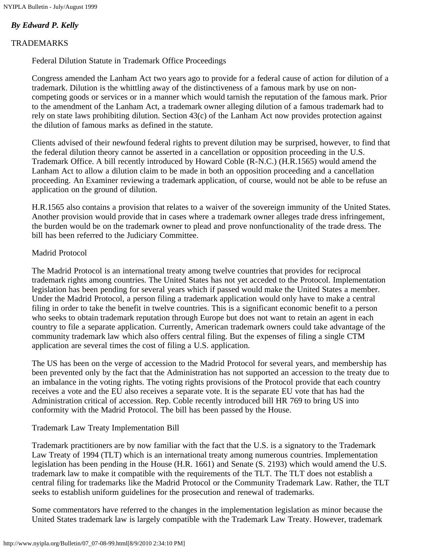NYIPLA Bulletin - July/August 1999

### *By Edward P. Kelly*

### TRADEMARKS

Federal Dilution Statute in Trademark Office Proceedings

Congress amended the Lanham Act two years ago to provide for a federal cause of action for dilution of a trademark. Dilution is the whittling away of the distinctiveness of a famous mark by use on noncompeting goods or services or in a manner which would tarnish the reputation of the famous mark. Prior to the amendment of the Lanham Act, a trademark owner alleging dilution of a famous trademark had to rely on state laws prohibiting dilution. Section 43(c) of the Lanham Act now provides protection against the dilution of famous marks as defined in the statute.

Clients advised of their newfound federal rights to prevent dilution may be surprised, however, to find that the federal dilution theory cannot be asserted in a cancellation or opposition proceeding in the U.S. Trademark Office. A bill recently introduced by Howard Coble (R-N.C.) (H.R.1565) would amend the Lanham Act to allow a dilution claim to be made in both an opposition proceeding and a cancellation proceeding. An Examiner reviewing a trademark application, of course, would not be able to be refuse an application on the ground of dilution.

H.R.1565 also contains a provision that relates to a waiver of the sovereign immunity of the United States. Another provision would provide that in cases where a trademark owner alleges trade dress infringement, the burden would be on the trademark owner to plead and prove nonfunctionality of the trade dress. The bill has been referred to the Judiciary Committee.

### Madrid Protocol

The Madrid Protocol is an international treaty among twelve countries that provides for reciprocal trademark rights among countries. The United States has not yet acceded to the Protocol. Implementation legislation has been pending for several years which if passed would make the United States a member. Under the Madrid Protocol, a person filing a trademark application would only have to make a central filing in order to take the benefit in twelve countries. This is a significant economic benefit to a person who seeks to obtain trademark reputation through Europe but does not want to retain an agent in each country to file a separate application. Currently, American trademark owners could take advantage of the community trademark law which also offers central filing. But the expenses of filing a single CTM application are several times the cost of filing a U.S. application.

The US has been on the verge of accession to the Madrid Protocol for several years, and membership has been prevented only by the fact that the Administration has not supported an accession to the treaty due to an imbalance in the voting rights. The voting rights provisions of the Protocol provide that each country receives a vote and the EU also receives a separate vote. It is the separate EU vote that has had the Administration critical of accession. Rep. Coble recently introduced bill HR 769 to bring US into conformity with the Madrid Protocol. The bill has been passed by the House.

### Trademark Law Treaty Implementation Bill

Trademark practitioners are by now familiar with the fact that the U.S. is a signatory to the Trademark Law Treaty of 1994 (TLT) which is an international treaty among numerous countries. Implementation legislation has been pending in the House (H.R. 1661) and Senate (S. 2193) which would amend the U.S. trademark law to make it compatible with the requirements of the TLT. The TLT does not establish a central filing for trademarks like the Madrid Protocol or the Community Trademark Law. Rather, the TLT seeks to establish uniform guidelines for the prosecution and renewal of trademarks.

Some commentators have referred to the changes in the implementation legislation as minor because the United States trademark law is largely compatible with the Trademark Law Treaty. However, trademark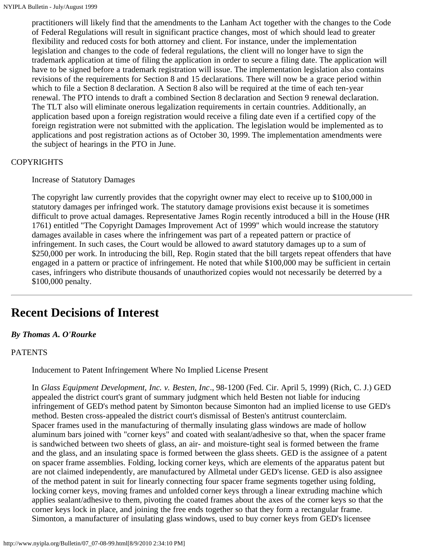practitioners will likely find that the amendments to the Lanham Act together with the changes to the Code of Federal Regulations will result in significant practice changes, most of which should lead to greater flexibility and reduced costs for both attorney and client. For instance, under the implementation legislation and changes to the code of federal regulations, the client will no longer have to sign the trademark application at time of filing the application in order to secure a filing date. The application will have to be signed before a trademark registration will issue. The implementation legislation also contains revisions of the requirements for Section 8 and 15 declarations. There will now be a grace period within which to file a Section 8 declaration. A Section 8 also will be required at the time of each ten-year renewal. The PTO intends to draft a combined Section 8 declaration and Section 9 renewal declaration. The TLT also will eliminate onerous legalization requirements in certain countries. Additionally, an application based upon a foreign registration would receive a filing date even if a certified copy of the foreign registration were not submitted with the application. The legislation would be implemented as to applications and post registration actions as of October 30, 1999. The implementation amendments were the subject of hearings in the PTO in June.

### **COPYRIGHTS**

#### Increase of Statutory Damages

The copyright law currently provides that the copyright owner may elect to receive up to \$100,000 in statutory damages per infringed work. The statutory damage provisions exist because it is sometimes difficult to prove actual damages. Representative James Rogin recently introduced a bill in the House (HR 1761) entitled "The Copyright Damages Improvement Act of 1999" which would increase the statutory damages available in cases where the infringement was part of a repeated pattern or practice of infringement. In such cases, the Court would be allowed to award statutory damages up to a sum of \$250,000 per work. In introducing the bill, Rep. Rogin stated that the bill targets repeat offenders that have engaged in a pattern or practice of infringement. He noted that while \$100,000 may be sufficient in certain cases, infringers who distribute thousands of unauthorized copies would not necessarily be deterred by a \$100,000 penalty.

## <span id="page-3-0"></span>**Recent Decisions of Interest**

#### *By Thomas A. O'Rourke*

#### PATENTS

Inducement to Patent Infringement Where No Implied License Present

In *Glass Equipment Development, Inc. v. Besten, Inc*., 98-1200 (Fed. Cir. April 5, 1999) (Rich, C. J.) GED appealed the district court's grant of summary judgment which held Besten not liable for inducing infringement of GED's method patent by Simonton because Simonton had an implied license to use GED's method. Besten cross-appealed the district court's dismissal of Besten's antitrust counterclaim. Spacer frames used in the manufacturing of thermally insulating glass windows are made of hollow aluminum bars joined with "corner keys" and coated with sealant/adhesive so that, when the spacer frame is sandwiched between two sheets of glass, an air- and moisture-tight seal is formed between the frame and the glass, and an insulating space is formed between the glass sheets. GED is the assignee of a patent on spacer frame assemblies. Folding, locking corner keys, which are elements of the apparatus patent but are not claimed independently, are manufactured by Allmetal under GED's license. GED is also assignee of the method patent in suit for linearly connecting four spacer frame segments together using folding, locking corner keys, moving frames and unfolded corner keys through a linear extruding machine which applies sealant/adhesive to them, pivoting the coated frames about the axes of the corner keys so that the corner keys lock in place, and joining the free ends together so that they form a rectangular frame. Simonton, a manufacturer of insulating glass windows, used to buy corner keys from GED's licensee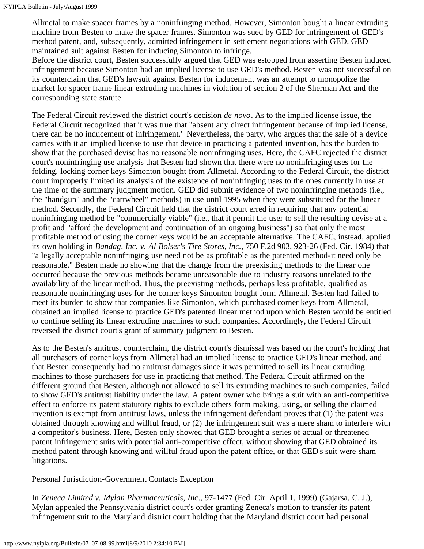Allmetal to make spacer frames by a noninfringing method. However, Simonton bought a linear extruding machine from Besten to make the spacer frames. Simonton was sued by GED for infringement of GED's method patent, and, subsequently, admitted infringement in settlement negotiations with GED. GED maintained suit against Besten for inducing Simonton to infringe.

Before the district court, Besten successfully argued that GED was estopped from asserting Besten induced infringement because Simonton had an implied license to use GED's method. Besten was not successful on its counterclaim that GED's lawsuit against Besten for inducement was an attempt to monopolize the market for spacer frame linear extruding machines in violation of section 2 of the Sherman Act and the corresponding state statute.

The Federal Circuit reviewed the district court's decision *de novo*. As to the implied license issue, the Federal Circuit recognized that it was true that "absent any direct infringement because of implied license, there can be no inducement of infringement." Nevertheless, the party, who argues that the sale of a device carries with it an implied license to use that device in practicing a patented invention, has the burden to show that the purchased devise has no reasonable noninfringing uses. Here, the CAFC rejected the district court's noninfringing use analysis that Besten had shown that there were no noninfringing uses for the folding, locking corner keys Simonton bought from Allmetal. According to the Federal Circuit, the district court improperly limited its analysis of the existence of noninfringing uses to the ones currently in use at the time of the summary judgment motion. GED did submit evidence of two noninfringing methods (i.e., the "handgun" and the "cartwheel" methods) in use until 1995 when they were substituted for the linear method. Secondly, the Federal Circuit held that the district court erred in requiring that any potential noninfringing method be "commercially viable" (i.e., that it permit the user to sell the resulting devise at a profit and "afford the development and continuation of an ongoing business") so that only the most profitable method of using the corner keys would be an acceptable alternative. The CAFC, instead, applied its own holding in *Bandag, Inc. v. Al Bolser's Tire Stores, Inc.,* 750 F.2d 903, 923-26 (Fed. Cir. 1984) that "a legally acceptable noninfringing use need not be as profitable as the patented method-it need only be reasonable." Besten made no showing that the change from the preexisting methods to the linear one occurred because the previous methods became unreasonable due to industry reasons unrelated to the availability of the linear method. Thus, the preexisting methods, perhaps less profitable, qualified as reasonable noninfringing uses for the corner keys Simonton bought form Allmetal. Besten had failed to meet its burden to show that companies like Simonton, which purchased corner keys from Allmetal, obtained an implied license to practice GED's patented linear method upon which Besten would be entitled to continue selling its linear extruding machines to such companies. Accordingly, the Federal Circuit reversed the district court's grant of summary judgment to Besten.

As to the Besten's antitrust counterclaim, the district court's dismissal was based on the court's holding that all purchasers of corner keys from Allmetal had an implied license to practice GED's linear method, and that Besten consequently had no antitrust damages since it was permitted to sell its linear extruding machines to those purchasers for use in practicing that method. The Federal Circuit affirmed on the different ground that Besten, although not allowed to sell its extruding machines to such companies, failed to show GED's antitrust liability under the law. A patent owner who brings a suit with an anti-competitive effect to enforce its patent statutory rights to exclude others form making, using, or selling the claimed invention is exempt from antitrust laws, unless the infringement defendant proves that (1) the patent was obtained through knowing and willful fraud, or (2) the infringement suit was a mere sham to interfere with a competitor's business. Here, Besten only showed that GED brought a series of actual or threatened patent infringement suits with potential anti-competitive effect, without showing that GED obtained its method patent through knowing and willful fraud upon the patent office, or that GED's suit were sham litigations.

Personal Jurisdiction-Government Contacts Exception

In *Zeneca Limited v. Mylan Pharmaceuticals, Inc*., 97-1477 (Fed. Cir. April 1, 1999) (Gajarsa, C. J.), Mylan appealed the Pennsylvania district court's order granting Zeneca's motion to transfer its patent infringement suit to the Maryland district court holding that the Maryland district court had personal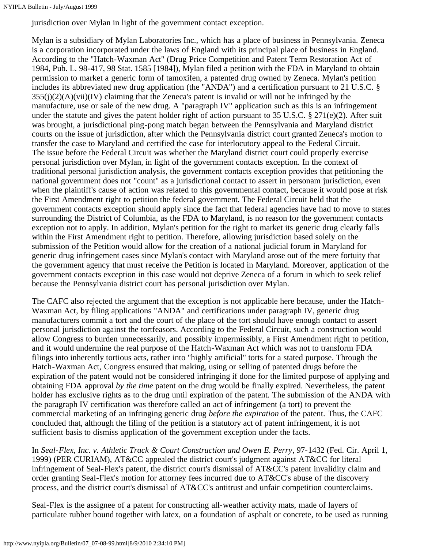jurisdiction over Mylan in light of the government contact exception.

Mylan is a subsidiary of Mylan Laboratories Inc., which has a place of business in Pennsylvania. Zeneca is a corporation incorporated under the laws of England with its principal place of business in England. According to the "Hatch-Waxman Act" (Drug Price Competition and Patent Term Restoration Act of 1984, Pub. L. 98-417, 98 Stat. 1585 [1984]), Mylan filed a petition with the FDA in Maryland to obtain permission to market a generic form of tamoxifen, a patented drug owned by Zeneca. Mylan's petition includes its abbreviated new drug application (the "ANDA") and a certification pursuant to 21 U.S.C. §  $355(j)(2)(A)(vii)(IV)$  claiming that the Zeneca's patent is invalid or will not be infringed by the manufacture, use or sale of the new drug. A "paragraph IV" application such as this is an infringement under the statute and gives the patent holder right of action pursuant to 35 U.S.C. § 271(e)(2). After suit was brought, a jurisdictional ping-pong match began between the Pennsylvania and Maryland district courts on the issue of jurisdiction, after which the Pennsylvania district court granted Zeneca's motion to transfer the case to Maryland and certified the case for interlocutory appeal to the Federal Circuit. The issue before the Federal Circuit was whether the Maryland district court could properly exercise personal jurisdiction over Mylan, in light of the government contacts exception. In the context of traditional personal jurisdiction analysis, the government contacts exception provides that petitioning the national government does not "count" as a jurisdictional contact to assert in personam jurisdiction, even when the plaintiff's cause of action was related to this governmental contact, because it would pose at risk the First Amendment right to petition the federal government. The Federal Circuit held that the government contacts exception should apply since the fact that federal agencies have had to move to states surrounding the District of Columbia, as the FDA to Maryland, is no reason for the government contacts exception not to apply. In addition, Mylan's petition for the right to market its generic drug clearly falls within the First Amendment right to petition. Therefore, allowing jurisdiction based solely on the submission of the Petition would allow for the creation of a national judicial forum in Maryland for generic drug infringement cases since Mylan's contact with Maryland arose out of the mere fortuity that the government agency that must receive the Petition is located in Maryland. Moreover, application of the government contacts exception in this case would not deprive Zeneca of a forum in which to seek relief because the Pennsylvania district court has personal jurisdiction over Mylan.

The CAFC also rejected the argument that the exception is not applicable here because, under the Hatch-Waxman Act, by filing applications "ANDA" and certifications under paragraph IV, generic drug manufacturers commit a tort and the court of the place of the tort should have enough contact to assert personal jurisdiction against the tortfeasors. According to the Federal Circuit, such a construction would allow Congress to burden unnecessarily, and possibly impermissibly, a First Amendment right to petition, and it would undermine the real purpose of the Hatch-Waxman Act which was not to transform FDA filings into inherently tortious acts, rather into "highly artificial" torts for a stated purpose. Through the Hatch-Waxman Act, Congress ensured that making, using or selling of patented drugs before the expiration of the patent would not be considered infringing if done for the limited purpose of applying and obtaining FDA approval *by the time* patent on the drug would be finally expired. Nevertheless, the patent holder has exclusive rights as to the drug until expiration of the patent. The submission of the ANDA with the paragraph IV certification was therefore called an act of infringement (a tort) to prevent the commercial marketing of an infringing generic drug *before the expiration* of the patent. Thus, the CAFC concluded that, although the filing of the petition is a statutory act of patent infringement, it is not sufficient basis to dismiss application of the government exception under the facts.

In *Seal-Flex, Inc. v. Athletic Track & Court Construction and Owen E. Perry*, 97-1432 (Fed. Cir. April 1, 1999) (PER CURIAM), AT&CC appealed the district court's judgment against AT&CC for literal infringement of Seal-Flex's patent, the district court's dismissal of AT&CC's patent invalidity claim and order granting Seal-Flex's motion for attorney fees incurred due to AT&CC's abuse of the discovery process, and the district court's dismissal of AT&CC's antitrust and unfair competition counterclaims.

Seal-Flex is the assignee of a patent for constructing all-weather activity mats, made of layers of particulate rubber bound together with latex, on a foundation of asphalt or concrete, to be used as running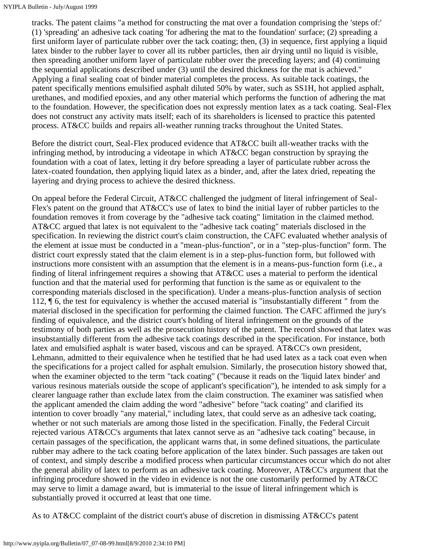tracks. The patent claims "a method for constructing the mat over a foundation comprising the 'steps of:' (1) 'spreading' an adhesive tack coating 'for adhering the mat to the foundation' surface; (2) spreading a first uniform layer of particulate rubber over the tack coating; then, (3) in sequence, first applying a liquid latex binder to the rubber layer to cover all its rubber particles, then air drying until no liquid is visible, then spreading another uniform layer of particulate rubber over the preceding layers; and (4) continuing the sequential applications described under (3) until the desired thickness for the mat is achieved." Applying a final sealing coat of binder material completes the process. As suitable tack coatings, the patent specifically mentions emulsified asphalt diluted 50% by water, such as SS1H, hot applied asphalt, urethanes, and modified epoxies, and any other material which performs the function of adhering the mat to the foundation. However, the specification does not expressly mention latex as a tack coating. Seal-Flex does not construct any activity mats itself; each of its shareholders is licensed to practice this patented process. AT&CC builds and repairs all-weather running tracks throughout the United States.

Before the district court, Seal-Flex produced evidence that AT&CC built all-weather tracks with the infringing method, by introducing a videotape in which AT&CC began construction by spraying the foundation with a coat of latex, letting it dry before spreading a layer of particulate rubber across the latex-coated foundation, then applying liquid latex as a binder, and, after the latex dried, repeating the layering and drying process to achieve the desired thickness.

On appeal before the Federal Circuit, AT&CC challenged the judgment of literal infringement of Seal-Flex's patent on the ground that AT&CC's use of latex to bind the initial layer of rubber particles to the foundation removes it from coverage by the "adhesive tack coating" limitation in the claimed method. AT&CC argued that latex is not equivalent to the "adhesive tack coating" materials disclosed in the specification. In reviewing the district court's claim construction, the CAFC evaluated whether analysis of the element at issue must be conducted in a "mean-plus-function", or in a "step-plus-function" form. The district court expressly stated that the claim element is in a step-plus-function form, but followed with instructions more consistent with an assumption that the element is in a means-pus-function form (i.e., a finding of literal infringement requires a showing that AT&CC uses a material to perform the identical function and that the material used for performing that function is the same as or equivalent to the corresponding materials disclosed in the specification). Under a means-plus-function analysis of section 112, ¶ 6, the test for equivalency is whether the accused material is "insubstantially different " from the material disclosed in the specification for performing the claimed function. The CAFC affirmed the jury's finding of equivalence, and the district court's holding of literal infringement on the grounds of the testimony of both parties as well as the prosecution history of the patent. The record showed that latex was insubstantially different from the adhesive tack coatings described in the specification. For instance, both latex and emulsified asphalt is water based, viscous and can be sprayed. AT&CC's own president, Lehmann, admitted to their equivalence when he testified that he had used latex as a tack coat even when the specifications for a project called for asphalt emulsion. Similarly, the prosecution history showed that, when the examiner objected to the term "tack coating" ("because it reads on the 'liquid latex binder' and various resinous materials outside the scope of applicant's specification"), he intended to ask simply for a clearer language rather than exclude latex from the claim construction. The examiner was satisfied when the applicant amended the claim adding the word "adhesive" before "tack coating" and clarified its intention to cover broadly "any material," including latex, that could serve as an adhesive tack coating, whether or not such materials are among those listed in the specification. Finally, the Federal Circuit rejected various AT&CC's arguments that latex cannot serve as an "adhesive tack coating" because, in certain passages of the specification, the applicant warns that, in some defined situations, the particulate rubber may adhere to the tack coating before application of the latex binder. Such passages are taken out of context, and simply describe a modified process when particular circumstances occur which do not alter the general ability of latex to perform as an adhesive tack coating. Moreover, AT&CC's argument that the infringing procedure showed in the video in evidence is not the one customarily performed by AT&CC may serve to limit a damage award, but is immaterial to the issue of literal infringement which is substantially proved it occurred at least that one time.

As to AT&CC complaint of the district court's abuse of discretion in dismissing AT&CC's patent